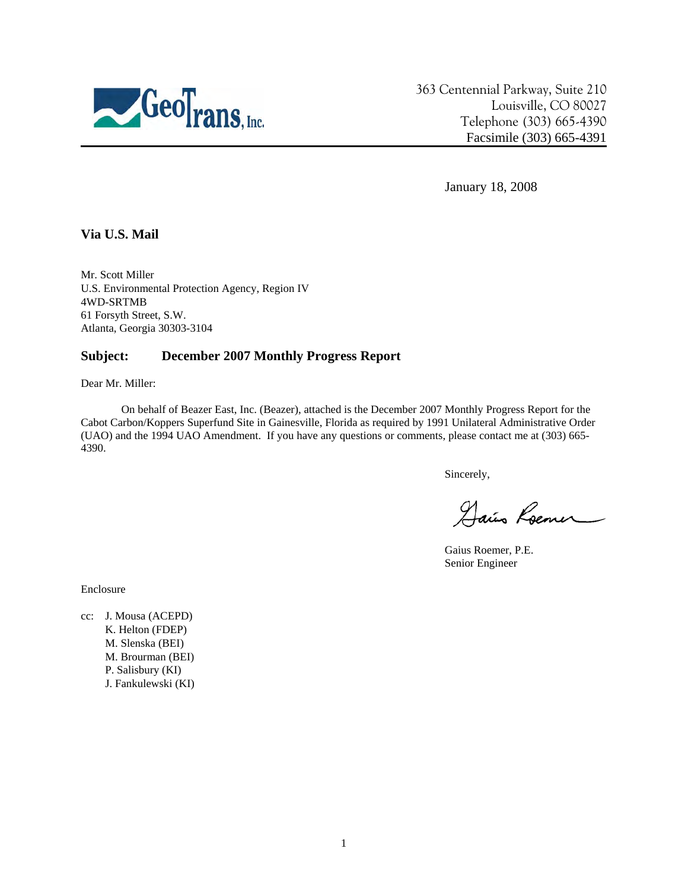

363 Centennial Parkway, Suite 210 Louisville, CO 80027 Telephone (303) 665-4390 Facsimile (303) 665-4391

January 18, 2008

## **Via U.S. Mail**

Mr. Scott Miller U.S. Environmental Protection Agency, Region IV 4WD-SRTMB 61 Forsyth Street, S.W. Atlanta, Georgia 30303-3104

## **Subject: December 2007 Monthly Progress Report**

Dear Mr. Miller:

On behalf of Beazer East, Inc. (Beazer), attached is the December 2007 Monthly Progress Report for the Cabot Carbon/Koppers Superfund Site in Gainesville, Florida as required by 1991 Unilateral Administrative Order (UAO) and the 1994 UAO Amendment. If you have any questions or comments, please contact me at (303) 665- 4390.

Sincerely,

Dais Roemer

Gaius Roemer, P.E. Senior Engineer

Enclosure

cc: J. Mousa (ACEPD) K. Helton (FDEP) M. Slenska (BEI) M. Brourman (BEI) P. Salisbury (KI) J. Fankulewski (KI)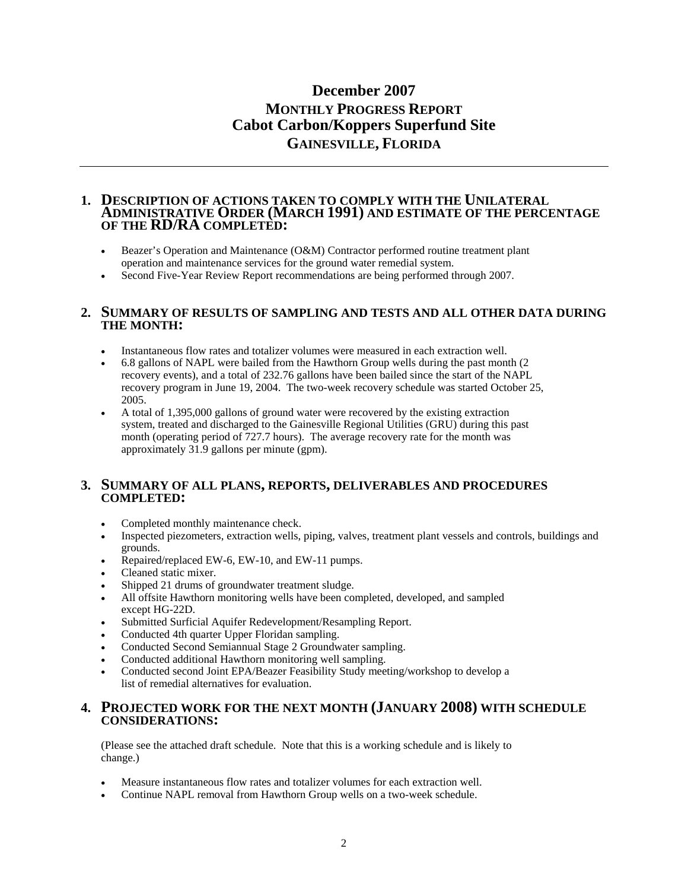# **December 2007 MONTHLY PROGRESS REPORT Cabot Carbon/Koppers Superfund Site GAINESVILLE, FLORIDA**

#### **1. DESCRIPTION OF ACTIONS TAKEN TO COMPLY WITH THE UNILATERAL ADMINISTRATIVE ORDER (MARCH 1991) AND ESTIMATE OF THE PERCENTAGE OF THE RD/RA COMPLETED:**

- Beazer's Operation and Maintenance (O&M) Contractor performed routine treatment plant operation and maintenance services for the ground water remedial system.
- Second Five-Year Review Report recommendations are being performed through 2007.

#### **2. SUMMARY OF RESULTS OF SAMPLING AND TESTS AND ALL OTHER DATA DURING THE MONTH:**

- Instantaneous flow rates and totalizer volumes were measured in each extraction well.
- 6.8 gallons of NAPL were bailed from the Hawthorn Group wells during the past month (2 recovery events), and a total of 232.76 gallons have been bailed since the start of the NAPL recovery program in June 19, 2004. The two-week recovery schedule was started October 25, 2005.
- A total of 1,395,000 gallons of ground water were recovered by the existing extraction system, treated and discharged to the Gainesville Regional Utilities (GRU) during this past month (operating period of 727.7 hours). The average recovery rate for the month was approximately 31.9 gallons per minute (gpm).

## **3. SUMMARY OF ALL PLANS, REPORTS, DELIVERABLES AND PROCEDURES COMPLETED:**

- Completed monthly maintenance check.
- Inspected piezometers, extraction wells, piping, valves, treatment plant vessels and controls, buildings and grounds.
- Repaired/replaced EW-6, EW-10, and EW-11 pumps.
- Cleaned static mixer.
- Shipped 21 drums of groundwater treatment sludge.
- All offsite Hawthorn monitoring wells have been completed, developed, and sampled except HG-22D.
- Submitted Surficial Aquifer Redevelopment/Resampling Report.
- Conducted 4th quarter Upper Floridan sampling.
- Conducted Second Semiannual Stage 2 Groundwater sampling.
- Conducted additional Hawthorn monitoring well sampling.
- Conducted second Joint EPA/Beazer Feasibility Study meeting/workshop to develop a list of remedial alternatives for evaluation.

#### **4. PROJECTED WORK FOR THE NEXT MONTH (JANUARY 2008) WITH SCHEDULE CONSIDERATIONS:**

(Please see the attached draft schedule. Note that this is a working schedule and is likely to change.)

- Measure instantaneous flow rates and totalizer volumes for each extraction well.
- Continue NAPL removal from Hawthorn Group wells on a two-week schedule.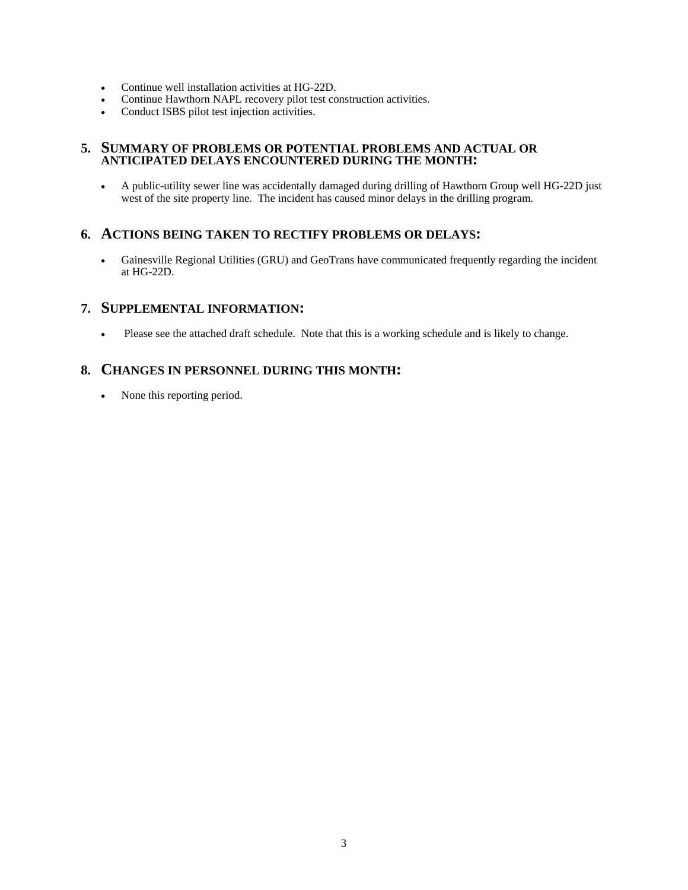- Continue well installation activities at HG-22D.
- Continue Hawthorn NAPL recovery pilot test construction activities.
- Conduct ISBS pilot test injection activities.

## **5. SUMMARY OF PROBLEMS OR POTENTIAL PROBLEMS AND ACTUAL OR ANTICIPATED DELAYS ENCOUNTERED DURING THE MONTH:**

• A public-utility sewer line was accidentally damaged during drilling of Hawthorn Group well HG-22D just west of the site property line. The incident has caused minor delays in the drilling program.

# **6. ACTIONS BEING TAKEN TO RECTIFY PROBLEMS OR DELAYS:**

• Gainesville Regional Utilities (GRU) and GeoTrans have communicated frequently regarding the incident at HG-22D.

# **7. SUPPLEMENTAL INFORMATION:**

• Please see the attached draft schedule. Note that this is a working schedule and is likely to change.

# **8. CHANGES IN PERSONNEL DURING THIS MONTH:**

• None this reporting period.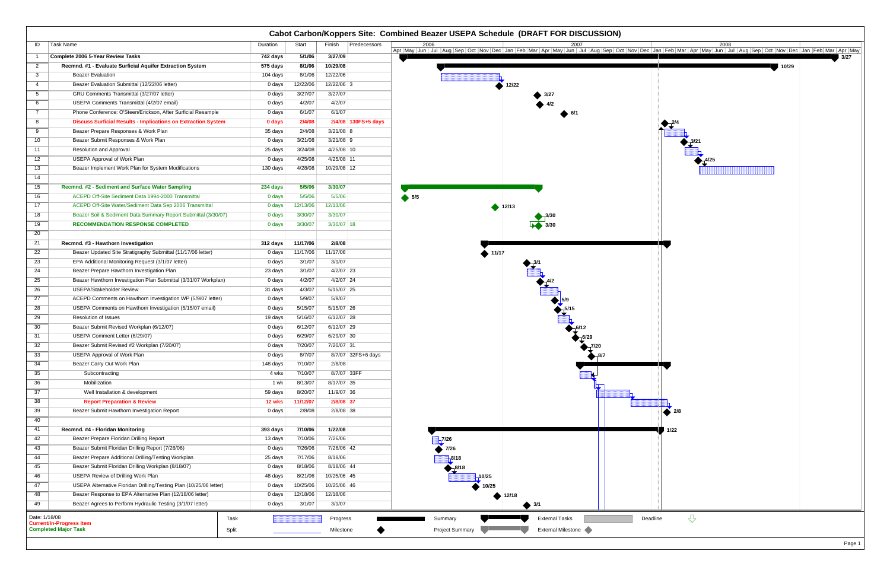|                 | Cabot Carbon/Koppers Site: Combined Beazer USEPA Schedule (DRAFT FOR DISCUSSION)           |          |          |                        |                                                                          |  |  |  |  |
|-----------------|--------------------------------------------------------------------------------------------|----------|----------|------------------------|--------------------------------------------------------------------------|--|--|--|--|
| ID              | Task Name                                                                                  | Duration | Start    | Finish<br>Predecessors |                                                                          |  |  |  |  |
|                 | Complete 2006 5-Year Review Tasks                                                          | 742 days | 5/1/06   | 3/27/09                | 3/27                                                                     |  |  |  |  |
| $\overline{2}$  | Recmnd. #1 - Evaluate Surficial Aquifer Extraction System                                  | 575 days | 8/1/06   | 10/29/08               | 10/29                                                                    |  |  |  |  |
| 3               | <b>Beazer Evaluation</b>                                                                   | 104 days | 8/1/06   | 12/22/06               |                                                                          |  |  |  |  |
| $\overline{4}$  | Beazer Evaluation Submittal (12/22/06 letter)                                              | 0 days   | 12/22/06 | 12/22/06 3             | 412/22                                                                   |  |  |  |  |
| $5\overline{)}$ | GRU Comments Transmittal (3/27/07 letter)                                                  | 0 days   | 3/27/07  | 3/27/07                |                                                                          |  |  |  |  |
| 6               | USEPA Comments Transmittal (4/2/07 email)                                                  | 0 days   | 4/2/07   | 4/2/07                 |                                                                          |  |  |  |  |
| $\overline{7}$  | Phone Conference: O'Steen/Erickson, After Surficial Resample                               | 0 days   | 6/1/07   | 6/1/07                 |                                                                          |  |  |  |  |
| 8               | <b>Discuss Surficial Results - Implications on Extraction System</b>                       | 0 days   | 2/4/08   | 2/4/08 130FS+5 days    |                                                                          |  |  |  |  |
| 9               | Beazer Prepare Responses & Work Plan                                                       | 35 days  | 2/4/08   | $3/21/08$ 8            |                                                                          |  |  |  |  |
| 10 <sup>°</sup> | Beazer Submit Responses & Work Plan                                                        | 0 days   | 3/21/08  | $3/21/08$ 9            |                                                                          |  |  |  |  |
| 11              | Resolution and Approval                                                                    | 25 days  | 3/24/08  | 4/25/08 10             |                                                                          |  |  |  |  |
| 12              | <b>USEPA Approval of Work Plan</b>                                                         | 0 days   | 4/25/08  | 4/25/08 11             |                                                                          |  |  |  |  |
| 13              | Beazer Implement Work Plan for System Modifications                                        | 130 days | 4/28/08  | 10/29/08 12            |                                                                          |  |  |  |  |
| 14              |                                                                                            |          |          |                        |                                                                          |  |  |  |  |
| 15              | Recmnd. #2 - Sediment and Surface Water Sampling                                           | 234 days | 5/5/06   | 3/30/07                |                                                                          |  |  |  |  |
| 16              | ACEPD Off-Site Sediment Data 1994-2000 Transmittal                                         | 0 days   | 5/5/06   | 5/5/06                 | 5/5                                                                      |  |  |  |  |
| 17              | ACEPD Off-Site Water/Sediment Data Sep 2006 Transmittal                                    | 0 days   | 12/13/06 | 12/13/06               | 12/13                                                                    |  |  |  |  |
| 18              | Beazer Soil & Sediment Data Summary Report Submittal (3/30/07)                             | 0 days   | 3/30/07  | 3/30/07                |                                                                          |  |  |  |  |
| 19              | <b>RECOMMENDATION RESPONSE COMPLETED</b>                                                   | 0 days   | 3/30/07  | $3/30/07$ 18           |                                                                          |  |  |  |  |
| 20              |                                                                                            |          |          |                        |                                                                          |  |  |  |  |
| 21              | Recmnd. #3 - Hawthorn Investigation                                                        | 312 days | 11/17/06 | 2/8/08                 |                                                                          |  |  |  |  |
| 22              | Beazer Updated Site Stratigraphy Submittal (11/17/06 letter)                               | 0 days   | 11/17/06 | 11/17/06               | $\triangle$ 11/17                                                        |  |  |  |  |
| 23              | EPA Additional Monitoring Request (3/1/07 letter)                                          | 0 days   | 3/1/07   | 3/1/07                 |                                                                          |  |  |  |  |
| 24              | Beazer Prepare Hawthorn Investigation Plan                                                 | 23 days  | 3/1/07   | $4/2/07$ 23            |                                                                          |  |  |  |  |
| 25              | Beazer Hawthorn Investigation Plan Submittal (3/31/07 Workplan)                            | 0 days   | 4/2/07   | 4/2/07 24              |                                                                          |  |  |  |  |
| 26              | <b>USEPA/Stakeholder Review</b>                                                            | 31 days  | 4/3/07   | 5/15/07 25             |                                                                          |  |  |  |  |
| 27              | ACEPD Comments on Hawthorn Investigation WP (5/9/07 letter)                                | 0 days   | 5/9/07   | 5/9/07                 |                                                                          |  |  |  |  |
| 28              | USEPA Comments on Hawthorn Investigation (5/15/07 email)                                   | 0 days   | 5/15/07  | 5/15/07 26             |                                                                          |  |  |  |  |
| 29              | <b>Resolution of Issues</b>                                                                | 19 days  | 5/16/07  | 6/12/07 28             |                                                                          |  |  |  |  |
| 30              | Beazer Submit Revised Workplan (6/12/07)                                                   | 0 days   | 6/12/07  | 6/12/07 29             |                                                                          |  |  |  |  |
| 31              | USEPA Comment Letter (6/29/07)                                                             | 0 days   | 6/29/07  | 6/29/07 30             |                                                                          |  |  |  |  |
| 32              | Beazer Submit Revised #2 Workplan (7/20/07)                                                | 0 days   | 7/20/07  | 7/20/07 31             |                                                                          |  |  |  |  |
| 33              | <b>USEPA Approval of Work Plan</b>                                                         | 0 days   | 8/7/07   | 8/7/07 32FS+6 days     | $\bigotimes_{1} 8/7$                                                     |  |  |  |  |
| 34              | Beazer Carry Out Work Plan                                                                 | 148 days | 7/10/07  | 2/8/08                 |                                                                          |  |  |  |  |
| 35              | Subcontracting                                                                             | 4 wks    | 7/10/07  | 8/7/07 33FF            |                                                                          |  |  |  |  |
| 36              | Mobilization                                                                               | 1 wk     | 8/13/07  | 8/17/07 35             |                                                                          |  |  |  |  |
| 37              | Well Installation & development                                                            | 59 days  | 8/20/07  | 11/9/07 36             |                                                                          |  |  |  |  |
| 38              | <b>Report Preparation &amp; Review</b>                                                     | 12 wks   | 11/12/07 | 2/8/08 37              |                                                                          |  |  |  |  |
| 39              | Beazer Submit Hawthorn Investigation Report                                                | 0 days   | 2/8/08   | 2/8/08 38              | $\bullet$ 2/8                                                            |  |  |  |  |
| 40              |                                                                                            |          |          |                        |                                                                          |  |  |  |  |
| 41              | Recmnd. #4 - Floridan Monitoring                                                           | 393 days | 7/10/06  | 1/22/08                | 1/22                                                                     |  |  |  |  |
| 42              | Beazer Prepare Floridan Drilling Report                                                    | 13 days  | 7/10/06  | 7/26/06                | 7/26                                                                     |  |  |  |  |
| 43              | Beazer Submit Floridan Drilling Report (7/26/06)                                           | 0 days   | 7/26/06  | 7/26/06 42             | $\overline{7/26}$                                                        |  |  |  |  |
| 44              | Beazer Prepare Additional Drilling/Testing Workplan                                        | 25 days  | 7/17/06  | 8/18/06                |                                                                          |  |  |  |  |
| 45              | Beazer Submit Floridan Drilling Workplan (8/18/07)                                         | 0 days   | 8/18/06  | 8/18/06 44             | 8/18                                                                     |  |  |  |  |
| 46              | USEPA Review of Drilling Work Plan                                                         | 48 days  | 8/21/06  | 10/25/06 45            | 10/25 <sub>1</sub>                                                       |  |  |  |  |
| 47              | USEPA Alternative Floridan Drilling/Testing Plan (10/25/06 letter)                         | 0 days   | 10/25/06 | 10/25/06 46            | 10/25                                                                    |  |  |  |  |
| 48              | Beazer Response to EPA Alternative Plan (12/18/06 letter)                                  | 0 days   | 12/18/06 | 12/18/06               | 12/18                                                                    |  |  |  |  |
| 49              | Beazer Agrees to Perform Hydraulic Testing (3/1/07 letter)                                 | 0 days   | 3/1/07   | 3/1/07                 | $\bullet$ 3/1                                                            |  |  |  |  |
|                 |                                                                                            |          |          |                        |                                                                          |  |  |  |  |
| Date: 1/18/08   | Task<br><b>Current/In-Progress Item</b>                                                    |          |          | Progress               | $\overline{\mathcal{L}}$<br>Deadline<br><b>External Tasks</b><br>Summary |  |  |  |  |
|                 | <b>Completed Major Task</b><br>External Milestone<br>Project Summary<br>Split<br>Milestone |          |          |                        |                                                                          |  |  |  |  |

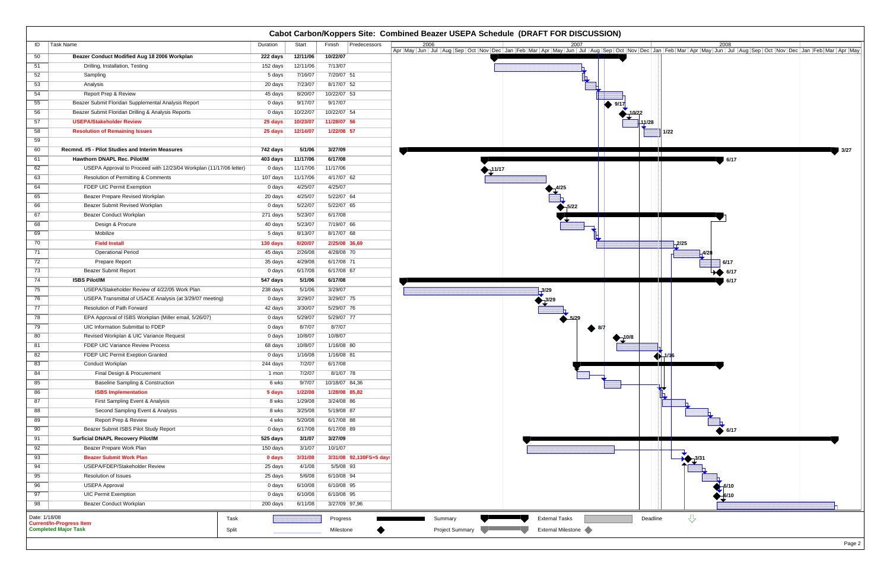|               | Cabot Carbon/Koppers Site: Combined Beazer USEPA Schedule (DRAFT FOR DISCUSSION)       |                   |                    |                          |                                                                    |  |  |  |
|---------------|----------------------------------------------------------------------------------------|-------------------|--------------------|--------------------------|--------------------------------------------------------------------|--|--|--|
| ID            | Task Name                                                                              | Duration          | Start              | Finish<br>Predecessors   |                                                                    |  |  |  |
| 50            | Beazer Conduct Modified Aug 18 2006 Workplan                                           | 222 days          | 12/11/06           | 10/22/07                 |                                                                    |  |  |  |
| 51            | Drilling, Installation, Testing                                                        | 152 days          | 12/11/06           | 7/13/07                  |                                                                    |  |  |  |
| 52            | Sampling                                                                               | 5 days            | 7/16/07            | 7/20/07 51               |                                                                    |  |  |  |
| 53            | Analysis                                                                               | 20 days           | 7/23/07            | 8/17/07 52               |                                                                    |  |  |  |
| 54            | Report Prep & Review                                                                   | 45 days           | 8/20/07            | 10/22/07 53              |                                                                    |  |  |  |
| 55            | Beazer Submit Floridan Supplemental Analysis Report                                    | 0 days            | 9/17/07            | 9/17/07                  |                                                                    |  |  |  |
| 56            | Beazer Submit Floridan Drilling & Analysis Reports                                     | 0 days            | 10/22/07           | 10/22/07 54              | 10/22                                                              |  |  |  |
| 57            | <b>USEPA/Stakeholder Review</b>                                                        | 25 days           | 10/23/07           | 11/28/07 56              | 11/28                                                              |  |  |  |
| 58            | <b>Resolution of Remaining Issues</b>                                                  | 25 days           | 12/14/07           | 1/22/08 57               | 1/22                                                               |  |  |  |
| 59            |                                                                                        |                   |                    |                          |                                                                    |  |  |  |
| 60            | Recmnd. #5 - Pilot Studies and Interim Measures                                        | 742 days          | 5/1/06             | 3/27/09                  | 3/27<br>. <b>. .</b><br>and the property                           |  |  |  |
| 61            | Hawthorn DNAPL Rec. Pilot/IM                                                           | 403 days          | 11/17/06           | 6/17/08                  | 6/17                                                               |  |  |  |
| 62            | USEPA Approval to Proceed with 12/23/04 Workplan (11/17/06 letter)                     | 0 days            | 11/17/06           | 11/17/06                 | $\frac{11}{117}$                                                   |  |  |  |
| 63            | Resolution of Permitting & Comments                                                    | 107 days          | 11/17/06           | 4/17/07 62               |                                                                    |  |  |  |
| 64            | FDEP UIC Permit Exemption                                                              | 0 days            | 4/25/07            | 4/25/07                  |                                                                    |  |  |  |
| 65            | Beazer Prepare Revised Workplan                                                        | 20 days           | 4/25/07            | 5/22/07 64               |                                                                    |  |  |  |
| 66            | Beazer Submit Revised Workplan                                                         | 0 days            | 5/22/07            | 5/22/07 65               | $\sum_{1}^{5/22}$                                                  |  |  |  |
| 67            | Beazer Conduct Workplan                                                                | 271 days          | 5/23/07            | 6/17/08                  |                                                                    |  |  |  |
| 68            | Design & Procure                                                                       | 40 days           | 5/23/07            | 7/19/07 66               |                                                                    |  |  |  |
| 69            | Mobilize                                                                               | 5 days            | 8/13/07            | 8/17/07 68               |                                                                    |  |  |  |
| 70            | <b>Field Install</b>                                                                   | 130 days          | 8/20/07            | 2/25/08 36,69            | $-2/25$                                                            |  |  |  |
| 71            | <b>Operational Period</b>                                                              | 45 days           | 2/26/08            | 4/28/08 70               | -4/28                                                              |  |  |  |
| 72            | Prepare Report                                                                         | 35 days           | 4/29/08            | 6/17/08 71               | 6/17                                                               |  |  |  |
| 73            | <b>Beazer Submit Report</b>                                                            | 0 days            | 6/17/08            | 6/17/08 67               | 6/17                                                               |  |  |  |
| 74            | <b>ISBS Pilot/IM</b>                                                                   | 547 days          | 5/1/06             | 6/17/08                  | 6/17                                                               |  |  |  |
| 75            | USEPA/Stakeholder Review of 4/22/05 Work Plan                                          | 238 days          | 5/1/06             | 3/29/07                  | $-3/29$                                                            |  |  |  |
| 76<br>77      | USEPA Transmittal of USACE Analysis (at 3/29/07 meeting)<br>Resolution of Path Forward | 0 days            | 3/29/07<br>3/30/07 | 3/29/07 75<br>5/29/07 76 |                                                                    |  |  |  |
| 78            | EPA Approval of ISBS Workplan (Miller email, 5/26/07)                                  | 42 days<br>0 days | 5/29/07            | 5/29/07 77               | $\frac{1}{2}$ 5/29                                                 |  |  |  |
| 79            | UIC Information Submittal to FDEP                                                      | 0 days            | 8/7/07             | 8/7/07                   |                                                                    |  |  |  |
| 80            | Revised Workplan & UIC Variance Request                                                | 0 days            | 10/8/07            | 10/8/07                  | ● 8/7                                                              |  |  |  |
| 81            | FDEP UIC Variance Review Process                                                       | 68 days           | 10/8/07            | 1/16/08 80               | 10/8                                                               |  |  |  |
| 82            | FDEP UIC Permit Exeption Granted                                                       | 0 days            | 1/16/08            | 1/16/08 81               |                                                                    |  |  |  |
| 83            | Conduct Workplan                                                                       | 244 days          | 7/2/07             | 6/17/08                  | $\bigoplus_{1/1} 1/16$                                             |  |  |  |
| 84            | Final Design & Procurement                                                             | 1 mon             | 7/2/07             | 8/1/07 78                |                                                                    |  |  |  |
| 85            | <b>Baseline Sampling &amp; Construction</b>                                            | 6 wks             | 9/7/07             | 10/18/07 84,36           |                                                                    |  |  |  |
| 86            | <b>ISBS Implementation</b>                                                             | 5 days            | 1/22/08            | 1/28/08 85,82            |                                                                    |  |  |  |
| 87            | First Sampling Event & Analysis                                                        | 8 wks             | 1/29/08            | $3/24/08$ 86             |                                                                    |  |  |  |
| 88            | Second Sampling Event & Analysis                                                       | 8 wks             | 3/25/08            | 5/19/08 87               |                                                                    |  |  |  |
| 89            | Report Prep & Review                                                                   | 4 wks             | 5/20/08            | 6/17/08 88               |                                                                    |  |  |  |
| 90            | Beazer Submit ISBS Pilot Study Report                                                  | 0 days            | 6/17/08            | 6/17/08 89               | 6/17                                                               |  |  |  |
| 91            | <b>Surficial DNAPL Recovery Pilot/IM</b>                                               | 525 days          | 3/1/07             | 3/27/09                  |                                                                    |  |  |  |
| 92            | Beazer Prepare Work Plan                                                               | 150 days          | 3/1/07             | 10/1/07                  |                                                                    |  |  |  |
| 93            | <b>Beazer Submit Work Plan</b>                                                         | 0 days            | 3/31/08            | 3/31/08 92,130FS+5 day:  |                                                                    |  |  |  |
| 94            | USEPA/FDEP/Stakeholder Review                                                          | 25 days           | 4/1/08             | 5/5/08 93                |                                                                    |  |  |  |
| 95            | Resolution of Issues                                                                   | 25 days           | 5/6/08             | 6/10/08 94               |                                                                    |  |  |  |
| 96            | <b>USEPA Approval</b>                                                                  | 0 days            | 6/10/08            | 6/10/08 95               |                                                                    |  |  |  |
| 97            | <b>UIC Permit Exemption</b>                                                            | 0 days            | 6/10/08            | 6/10/08 95               |                                                                    |  |  |  |
| 98            | <b>Beazer Conduct Workplan</b>                                                         | 200 days          | 6/11/08            | 3/27/09 97,96            |                                                                    |  |  |  |
| Date: 1/18/08 | Task                                                                                   |                   |                    | Progress                 | $\bigtriangledown$<br><b>External Tasks</b><br>Deadline<br>Summary |  |  |  |
|               | <b>Current/In-Progress Item</b>                                                        |                   |                    |                          |                                                                    |  |  |  |
|               | <b>Completed Major Task</b><br>Split                                                   |                   |                    | Milestone                | Project Summary<br><b>External Milestone</b>                       |  |  |  |

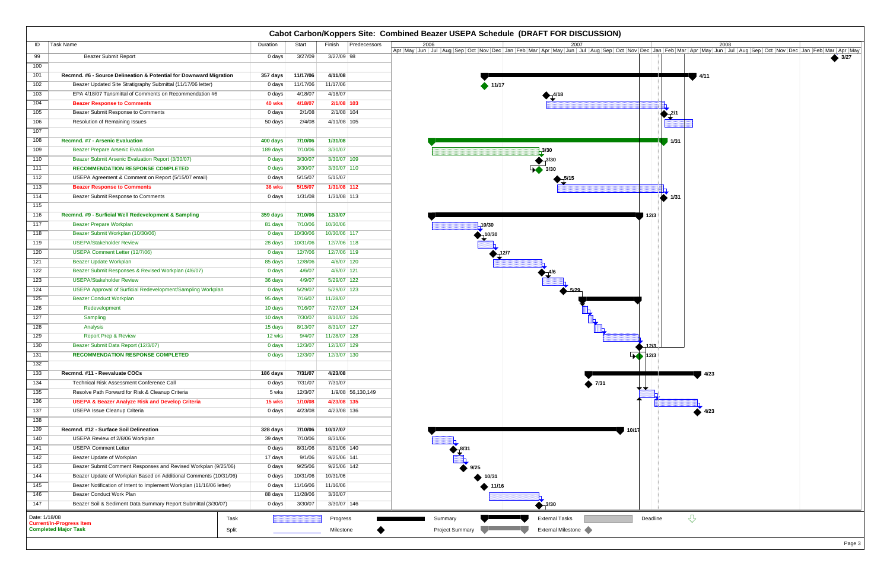|                                                                                                               | Cabot Carbon/Koppers Site: Combined Beazer USEPA Schedule (DRAFT FOR DISCUSSION) |          |          |                        |                             |                    |                   |       |  |
|---------------------------------------------------------------------------------------------------------------|----------------------------------------------------------------------------------|----------|----------|------------------------|-----------------------------|--------------------|-------------------|-------|--|
| ID                                                                                                            | Task Name                                                                        | Duration | Start    | Finish<br>Predecessors |                             |                    |                   |       |  |
| 99                                                                                                            | <b>Beazer Submit Report</b>                                                      | $0$ days | 3/27/09  | 3/27/09 98             |                             |                    |                   | 43/27 |  |
| 100                                                                                                           |                                                                                  |          |          |                        |                             |                    |                   |       |  |
| 101                                                                                                           | Recmnd. #6 - Source Delineation & Potential for Downward Migration               | 357 days | 11/17/06 | 4/11/08                |                             |                    | 14/11             |       |  |
| 102                                                                                                           | Beazer Updated Site Stratigraphy Submittal (11/17/06 letter)                     | 0 days   | 11/17/06 | 11/17/06               | $\blacktriangleright$ 11/17 |                    |                   |       |  |
| 103                                                                                                           | EPA 4/18/07 Tansmittal of Comments on Recommendation #6                          | 0 days   | 4/18/07  | 4/18/07                |                             |                    |                   |       |  |
| 104                                                                                                           | <b>Beazer Response to Comments</b>                                               | 40 wks   | 4/18/07  | 2/1/08 103             |                             |                    |                   |       |  |
| 105                                                                                                           | Beazer Submit Response to Comments                                               | 0 days   | 2/1/08   | 2/1/08 104             |                             |                    | $2^{2/1}$         |       |  |
| 106                                                                                                           | <b>Resolution of Remaining Issues</b>                                            | 50 days  | 2/4/08   | 4/11/08 105            |                             |                    |                   |       |  |
| 107                                                                                                           |                                                                                  |          |          |                        |                             |                    |                   |       |  |
| 108                                                                                                           | <b>Recmnd. #7 - Arsenic Evaluation</b>                                           | 400 days | 7/10/06  | 1/31/08                |                             |                    | 1/31              |       |  |
| 109                                                                                                           | <b>Beazer Prepare Arsenic Evaluation</b>                                         | 189 days | 7/10/06  | 3/30/07                |                             | $-3/30$            |                   |       |  |
| 110                                                                                                           | Beazer Submit Arsenic Evaluation Report (3/30/07)                                | 0 days   | 3/30/07  | 3/30/07 109            |                             | 3/30               |                   |       |  |
| 111                                                                                                           | <b>RECOMMENDATION RESPONSE COMPLETED</b>                                         | 0 days   | 3/30/07  | 3/30/07 110            |                             |                    |                   |       |  |
| 112                                                                                                           | USEPA Agreement & Comment on Report (5/15/07 email)                              | 0 days   | 5/15/07  | 5/15/07                |                             |                    |                   |       |  |
| 113                                                                                                           | <b>Beazer Response to Comments</b>                                               | 36 wks   | 5/15/07  | 1/31/08 112            |                             |                    |                   |       |  |
| 114                                                                                                           | Beazer Submit Response to Comments                                               | 0 days   | 1/31/08  | 1/31/08 113            |                             |                    | $\sum$ 1/31       |       |  |
| 115                                                                                                           |                                                                                  |          |          |                        |                             |                    |                   |       |  |
| 116                                                                                                           | Recmnd. #9 - Surficial Well Redevelopment & Sampling                             | 359 days | 7/10/06  | 12/3/07                |                             |                    | 12/3              |       |  |
| 117                                                                                                           | <b>Beazer Prepare Workplan</b>                                                   | 81 days  | 7/10/06  | 10/30/06               | 10/30                       |                    |                   |       |  |
| 118                                                                                                           | Beazer Submit Workplan (10/30/06)                                                | 0 days   | 10/30/06 | 10/30/06 117           | 10/30                       |                    |                   |       |  |
| 119                                                                                                           | <b>USEPA/Stakeholder Review</b>                                                  | 28 days  | 10/31/06 | 12/7/06 118            |                             |                    |                   |       |  |
| 120                                                                                                           | <b>USEPA Comment Letter (12/7/06)</b>                                            | 0 days   | 12/7/06  | 12/7/06 119            |                             |                    |                   |       |  |
| 121                                                                                                           | <b>Beazer Update Workplan</b>                                                    | 85 days  | 12/8/06  | 4/6/07 120             |                             |                    |                   |       |  |
| 122                                                                                                           | Beazer Submit Responses & Revised Workplan (4/6/07)                              | 0 days   | 4/6/07   | 4/6/07 121             |                             |                    |                   |       |  |
| 123                                                                                                           | <b>USEPA/Stakeholder Review</b>                                                  | 36 days  | 4/9/07   | 5/29/07 122            |                             |                    |                   |       |  |
| 124                                                                                                           | <b>USEPA Approval of Surficial Redevelopment/Sampling Workplan</b>               | 0 days   | 5/29/07  | 5/29/07 123            |                             |                    |                   |       |  |
| 125                                                                                                           | <b>Beazer Conduct Workplan</b>                                                   | 95 days  | 7/16/07  | 11/28/07               |                             |                    |                   |       |  |
| 126                                                                                                           | Redevelopment                                                                    | 10 days  | 7/16/07  | 7/27/07 124            |                             |                    |                   |       |  |
| 127                                                                                                           | Sampling                                                                         | 10 days  | 7/30/07  | 8/10/07 126            |                             |                    |                   |       |  |
| 128                                                                                                           | Analysis                                                                         | 15 days  | 8/13/07  | 8/31/07 127            |                             |                    |                   |       |  |
| 129                                                                                                           | <b>Report Prep &amp; Review</b>                                                  | 12 wks   | 9/4/07   | 11/28/07 128           |                             |                    |                   |       |  |
| 130                                                                                                           | Beazer Submit Data Report (12/3/07)                                              | 0 days   | 12/3/07  | 12/3/07 129            |                             |                    | -12/3             |       |  |
| 131                                                                                                           | <b>RECOMMENDATION RESPONSE COMPLETED</b>                                         | $0$ days | 12/3/07  | 12/3/07 130            |                             |                    | $\sqrt{12/3}$     |       |  |
| 132                                                                                                           |                                                                                  |          |          |                        |                             |                    |                   |       |  |
| $\overline{133}$                                                                                              | Recmnd. #11 - Reevaluate COCs                                                    | 186 days | 7/31/07  | 4/23/08                |                             |                    | 4/23              |       |  |
| 134                                                                                                           | Technical Risk Assessment Conference Call                                        | 0 days   | 7/31/07  | 7/31/07                |                             | $\bullet$ 7/31     |                   |       |  |
| 135                                                                                                           | Resolve Path Forward for Risk & Cleanup Criteria                                 | 5 wks    | 12/3/07  | 1/9/08 56,130,149      |                             |                    |                   |       |  |
| $\overline{136}$                                                                                              | <b>USEPA &amp; Beazer Analyze Risk and Develop Criteria</b>                      | 15 wks   | 1/10/08  | 4/23/08 135            |                             |                    |                   |       |  |
| $\overline{137}$                                                                                              | <b>USEPA Issue Cleanup Criteria</b>                                              | 0 days   | 4/23/08  | 4/23/08 136            |                             |                    | $\overline{4/23}$ |       |  |
| 138                                                                                                           |                                                                                  |          |          |                        |                             |                    |                   |       |  |
| 139                                                                                                           | Recmnd. #12 - Surface Soil Delineation                                           | 328 days | 7/10/06  | 10/17/07               |                             | 10/17              |                   |       |  |
| 140                                                                                                           | USEPA Review of 2/8/06 Workplan                                                  | 39 days  | 7/10/06  | 8/31/06                |                             |                    |                   |       |  |
| 141                                                                                                           | <b>USEPA Comment Letter</b>                                                      | 0 days   | 8/31/06  | 8/31/06 140            |                             |                    |                   |       |  |
| 142                                                                                                           | Beazer Update of Workplan                                                        | 17 days  | 9/1/06   | 9/25/06 141            | $\frac{8}{1}$               |                    |                   |       |  |
| 143                                                                                                           | Beazer Submit Comment Responses and Revised Workplan (9/25/06)                   | 0 days   | 9/25/06  | 9/25/06 142            | 9/25                        |                    |                   |       |  |
| 144                                                                                                           | Beazer Update of Workplan Based on Additional Comments (10/31/06)                | 0 days   | 10/31/06 | 10/31/06               | 10/31                       |                    |                   |       |  |
| $\overline{145}$                                                                                              | Beazer Notification of Intent to Implement Workplan (11/16/06 letter)            | 0 days   | 11/16/06 | 11/16/06               | .11/16                      |                    |                   |       |  |
| 146                                                                                                           | Beazer Conduct Work Plan                                                         | 88 days  | 11/28/06 | 3/30/07                |                             |                    |                   |       |  |
| 147                                                                                                           | Beazer Soil & Sediment Data Summary Report Submittal (3/30/07)                   | 0 days   | 3/30/07  | 3/30/07 146            |                             | $\bigoplus$ 3/30   |                   |       |  |
| $\overline{\mathcal{L}}$<br>Date: 1/18/08<br><b>External Tasks</b><br>Deadline<br>Task<br>Progress<br>Summary |                                                                                  |          |          |                        |                             |                    |                   |       |  |
| <b>Current/In-Progress Item</b><br><b>Completed Major Task</b><br>Split                                       |                                                                                  |          |          |                        |                             |                    |                   |       |  |
|                                                                                                               |                                                                                  |          |          | Milestone              | <b>Project Summary</b>      | External Milestone |                   |       |  |